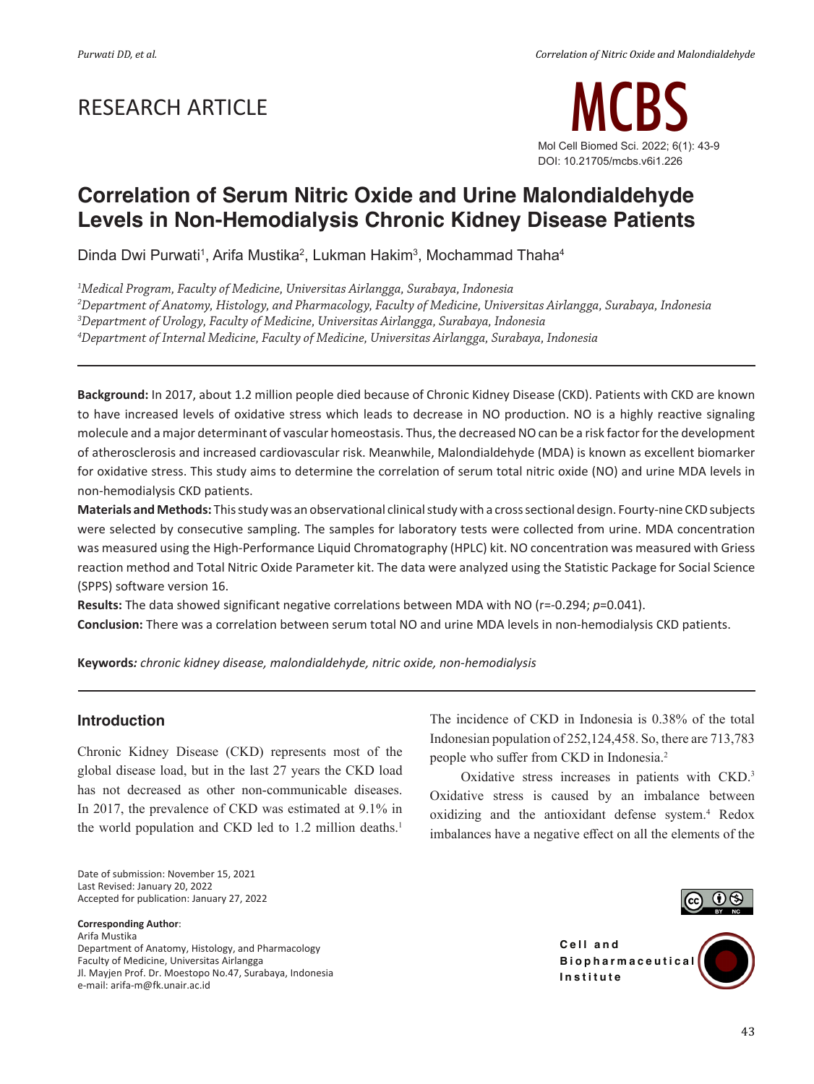# RESEARCH ARTICLE



# **Correlation of Serum Nitric Oxide and Urine Malondialdehyde Levels in Non-Hemodialysis Chronic Kidney Disease Patients**

Dinda Dwi Purwati $^{\rm 1}$ , Arifa Mustika $^{\rm 2}$ , Lukman Hakim $^{\rm 3}$ , Mochammad Thaha $^{\rm 4}$ 

*1 Medical Program, Faculty of Medicine, Universitas Airlangga, Surabaya, Indonesia*

*2 Department of Anatomy, Histology, and Pharmacology, Faculty of Medicine, Universitas Airlangga, Surabaya, Indonesia*

*3 Department of Urology, Faculty of Medicine, Universitas Airlangga, Surabaya, Indonesia*

*4 Department of Internal Medicine, Faculty of Medicine, Universitas Airlangga, Surabaya, Indonesia*

**Background:** In 2017, about 1.2 million people died because of Chronic Kidney Disease (CKD). Patients with CKD are known to have increased levels of oxidative stress which leads to decrease in NO production. NO is a highly reactive signaling molecule and a major determinant of vascular homeostasis. Thus, the decreased NO can be a risk factor for the development of atherosclerosis and increased cardiovascular risk. Meanwhile, Malondialdehyde (MDA) is known as excellent biomarker for oxidative stress. This study aims to determine the correlation of serum total nitric oxide (NO) and urine MDA levels in non-hemodialysis CKD patients.

**Materials and Methods:** This study was an observational clinical study with a cross sectional design. Fourty-nine CKD subjects were selected by consecutive sampling. The samples for laboratory tests were collected from urine. MDA concentration was measured using the High-Performance Liquid Chromatography (HPLC) kit. NO concentration was measured with Griess reaction method and Total Nitric Oxide Parameter kit. The data were analyzed using the Statistic Package for Social Science (SPPS) software version 16.

**Results:** The data showed significant negative correlations between MDA with NO (r=-0.294; *p*=0.041). **Conclusion:** There was a correlation between serum total NO and urine MDA levels in non-hemodialysis CKD patients.

**Keywords***: chronic kidney disease, malondialdehyde, nitric oxide, non-hemodialysis*

### **Introduction**

Chronic Kidney Disease (CKD) represents most of the global disease load, but in the last 27 years the CKD load has not decreased as other non-communicable diseases. In 2017, the prevalence of CKD was estimated at 9.1% in the world population and CKD led to 1.2 million deaths.<sup>1</sup>

Date of submission: November 15, 2021 Last Revised: January 20, 2022 Accepted for publication: January 27, 2022

**Corresponding Author**: Arifa Mustika

Department of Anatomy, Histology, and Pharmacology Faculty of Medicine, Universitas Airlangga Jl. Mayjen Prof. Dr. Moestopo No.47, Surabaya, Indonesia e-mail: arifa-m@fk.unair.ac.id

The incidence of CKD in Indonesia is 0.38% of the total Indonesian population of 252,124,458. So, there are 713,783 people who suffer from CKD in Indonesia.<sup>2</sup>

Oxidative stress increases in patients with CKD.3 Oxidative stress is caused by an imbalance between oxidizing and the antioxidant defense system.4 Redox imbalances have a negative effect on all the elements of the



**Cell** and **B i o p h a r m a c e u t i c a l Institute**

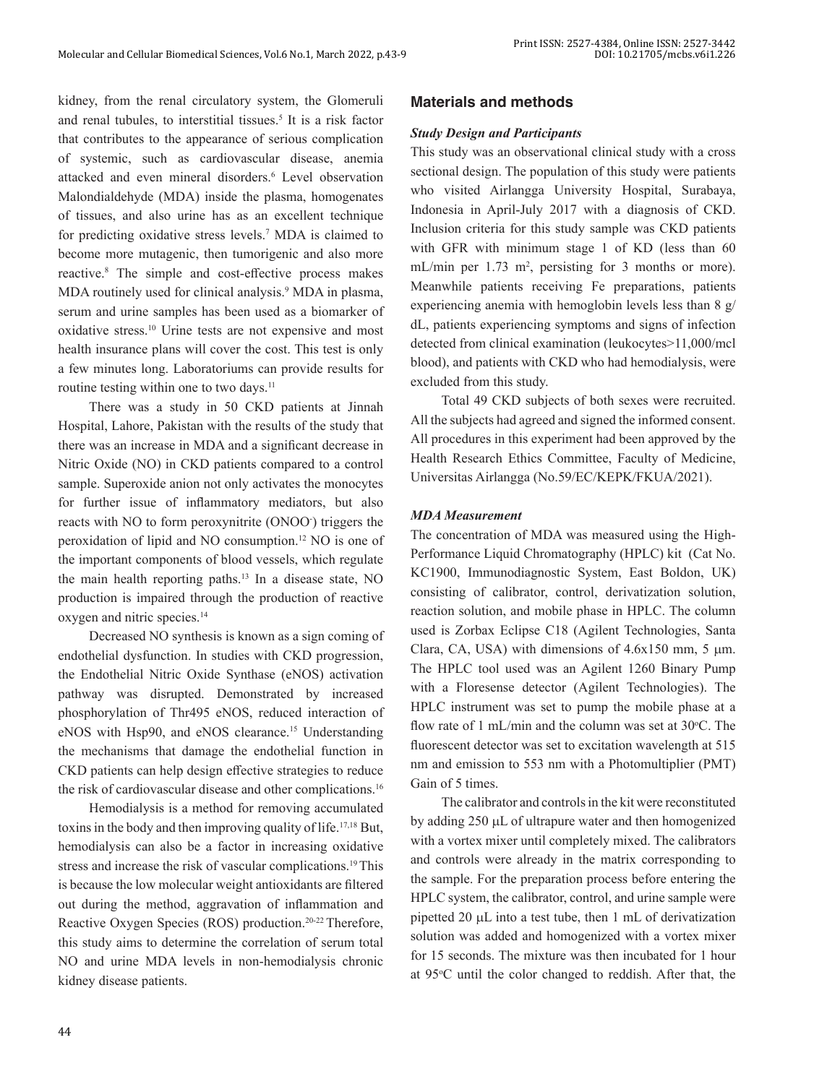kidney, from the renal circulatory system, the Glomeruli and renal tubules, to interstitial tissues.<sup>5</sup> It is a risk factor that contributes to the appearance of serious complication of systemic, such as cardiovascular disease, anemia attacked and even mineral disorders.6 Level observation Malondialdehyde (MDA) inside the plasma, homogenates of tissues, and also urine has as an excellent technique for predicting oxidative stress levels.7 MDA is claimed to become more mutagenic, then tumorigenic and also more reactive.8 The simple and cost-effective process makes MDA routinely used for clinical analysis.<sup>9</sup> MDA in plasma, serum and urine samples has been used as a biomarker of oxidative stress.10 Urine tests are not expensive and most health insurance plans will cover the cost. This test is only a few minutes long. Laboratoriums can provide results for routine testing within one to two days.<sup>11</sup>

There was a study in 50 CKD patients at Jinnah Hospital, Lahore, Pakistan with the results of the study that there was an increase in MDA and a significant decrease in Nitric Oxide (NO) in CKD patients compared to a control sample. Superoxide anion not only activates the monocytes for further issue of inflammatory mediators, but also reacts with NO to form peroxynitrite (ONOO<sup>-</sup>) triggers the peroxidation of lipid and NO consumption.12 NO is one of the important components of blood vessels, which regulate the main health reporting paths.13 In a disease state, NO production is impaired through the production of reactive oxygen and nitric species.14

Decreased NO synthesis is known as a sign coming of endothelial dysfunction. In studies with CKD progression, the Endothelial Nitric Oxide Synthase (eNOS) activation pathway was disrupted. Demonstrated by increased phosphorylation of Thr495 eNOS, reduced interaction of eNOS with Hsp90, and eNOS clearance.15 Understanding the mechanisms that damage the endothelial function in CKD patients can help design effective strategies to reduce the risk of cardiovascular disease and other complications.16

Hemodialysis is a method for removing accumulated toxins in the body and then improving quality of life.17,18 But, hemodialysis can also be a factor in increasing oxidative stress and increase the risk of vascular complications.19 This is because the low molecular weight antioxidants are filtered out during the method, aggravation of inflammation and Reactive Oxygen Species (ROS) production.20-22 Therefore, this study aims to determine the correlation of serum total NO and urine MDA levels in non-hemodialysis chronic kidney disease patients.

# **Materials and methods**

#### *Study Design and Participants*

This study was an observational clinical study with a cross sectional design. The population of this study were patients who visited Airlangga University Hospital, Surabaya, Indonesia in April-July 2017 with a diagnosis of CKD. Inclusion criteria for this study sample was CKD patients with GFR with minimum stage 1 of KD (less than 60 mL/min per  $1.73 \text{ m}^2$ , persisting for 3 months or more). Meanwhile patients receiving Fe preparations, patients experiencing anemia with hemoglobin levels less than 8 g/ dL, patients experiencing symptoms and signs of infection detected from clinical examination (leukocytes>11,000/mcl blood), and patients with CKD who had hemodialysis, were excluded from this study.

Total 49 CKD subjects of both sexes were recruited. All the subjects had agreed and signed the informed consent. All procedures in this experiment had been approved by the Health Research Ethics Committee, Faculty of Medicine, Universitas Airlangga (No.59/EC/KEPK/FKUA/2021).

### *MDA Measurement*

The concentration of MDA was measured using the High-Performance Liquid Chromatography (HPLC) kit (Cat No. KC1900, Immunodiagnostic System, East Boldon, UK) consisting of calibrator, control, derivatization solution, reaction solution, and mobile phase in HPLC. The column used is Zorbax Eclipse C18 (Agilent Technologies, Santa Clara, CA, USA) with dimensions of  $4.6x150$  mm,  $5 \mu m$ . The HPLC tool used was an Agilent 1260 Binary Pump with a Floresense detector (Agilent Technologies). The HPLC instrument was set to pump the mobile phase at a flow rate of  $1 \text{ mL/min}$  and the column was set at  $30^{\circ}$ C. The fluorescent detector was set to excitation wavelength at 515 nm and emission to 553 nm with a Photomultiplier (PMT) Gain of 5 times.

The calibrator and controls in the kit were reconstituted by adding 250 µL of ultrapure water and then homogenized with a vortex mixer until completely mixed. The calibrators and controls were already in the matrix corresponding to the sample. For the preparation process before entering the HPLC system, the calibrator, control, and urine sample were pipetted 20  $\mu$ L into a test tube, then 1 mL of derivatization solution was added and homogenized with a vortex mixer for 15 seconds. The mixture was then incubated for 1 hour at 95°C until the color changed to reddish. After that, the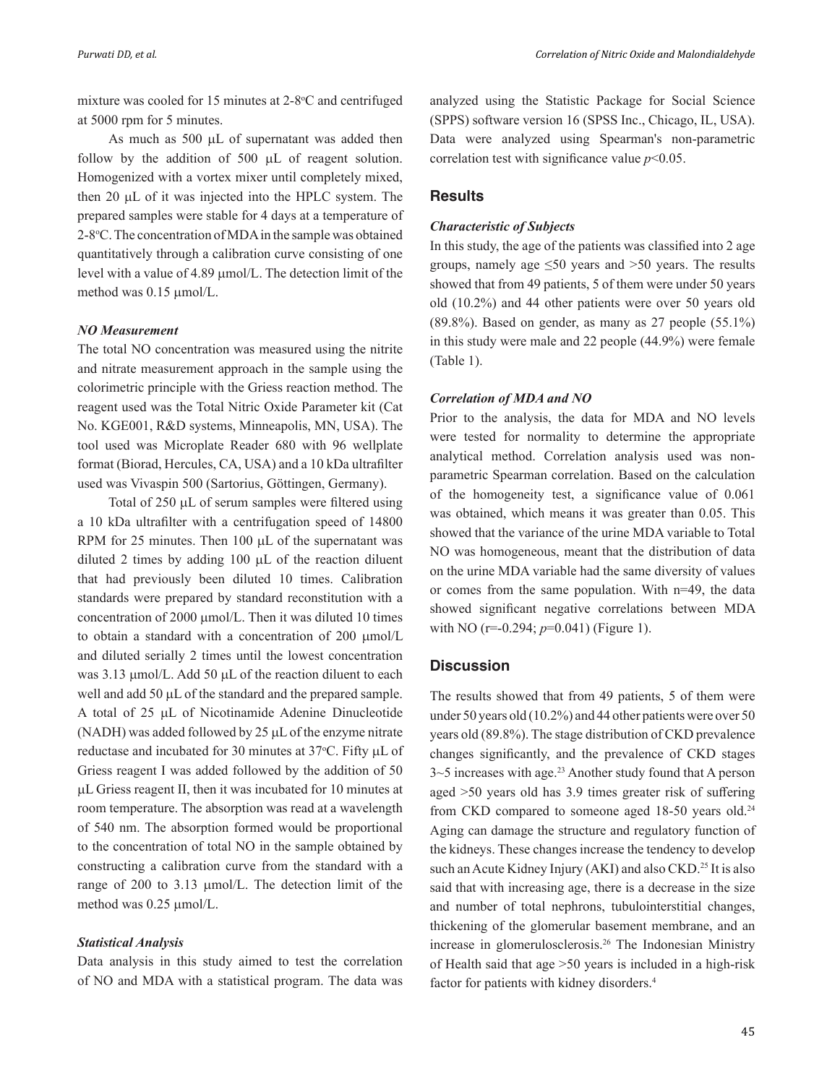mixture was cooled for 15 minutes at 2-8°C and centrifuged at 5000 rpm for 5 minutes.

As much as  $500 \mu L$  of supernatant was added then follow by the addition of 500 µL of reagent solution. Homogenized with a vortex mixer until completely mixed, then  $20 \mu L$  of it was injected into the HPLC system. The prepared samples were stable for 4 days at a temperature of 2-8 °C. The concentration of MDA in the sample was obtained quantitatively through a calibration curve consisting of one level with a value of 4.89  $\mu$ mol/L. The detection limit of the method was  $0.15 \mu$ mol/L.

## *NO Measurement*

The total NO concentration was measured using the nitrite and nitrate measurement approach in the sample using the colorimetric principle with the Griess reaction method. The reagent used was the Total Nitric Oxide Parameter kit (Cat No. KGE001, R&D systems, Minneapolis, MN, USA). The tool used was Microplate Reader 680 with 96 wellplate format (Biorad, Hercules, CA, USA) and a 10 kDa ultrafilter used was Vivaspin 500 (Sartorius, Göttingen, Germany).

Total of 250 µL of serum samples were filtered using a 10 kDa ultrafilter with a centrifugation speed of 14800 RPM for  $25$  minutes. Then  $100 \mu L$  of the supernatant was diluted 2 times by adding  $100 \mu L$  of the reaction diluent that had previously been diluted 10 times. Calibration standards were prepared by standard reconstitution with a concentration of 2000 µmol/L. Then it was diluted 10 times to obtain a standard with a concentration of 200  $\mu$ mol/L and diluted serially 2 times until the lowest concentration was  $3.13 \mu$ mol/L. Add  $50 \mu$ L of the reaction diluent to each well and add 50  $\mu$ L of the standard and the prepared sample. A total of 25 µL of Nicotinamide Adenine Dinucleotide (NADH) was added followed by  $25 \mu L$  of the enzyme nitrate reductase and incubated for 30 minutes at 37°C. Fifty µL of Griess reagent I was added followed by the addition of 50  $\mu$ L Griess reagent II, then it was incubated for 10 minutes at room temperature. The absorption was read at a wavelength of 540 nm. The absorption formed would be proportional to the concentration of total NO in the sample obtained by constructing a calibration curve from the standard with a range of 200 to 3.13 µmol/L. The detection limit of the method was  $0.25 \mu$ mol/L.

#### *Statistical Analysis*

Data analysis in this study aimed to test the correlation of NO and MDA with a statistical program. The data was analyzed using the Statistic Package for Social Science (SPPS) software version 16 (SPSS Inc., Chicago, IL, USA). Data were analyzed using Spearman's non-parametric correlation test with significance value *p*<0.05.

## **Results**

#### *Characteristic of Subjects*

In this study, the age of the patients was classified into 2 age groups, namely age  $\leq 50$  years and  $> 50$  years. The results showed that from 49 patients, 5 of them were under 50 years old (10.2%) and 44 other patients were over 50 years old  $(89.8\%)$ . Based on gender, as many as 27 people  $(55.1\%)$ in this study were male and 22 people (44.9%) were female (Table 1).

#### *Correlation of MDA and NO*

Prior to the analysis, the data for MDA and NO levels were tested for normality to determine the appropriate analytical method. Correlation analysis used was nonparametric Spearman correlation. Based on the calculation of the homogeneity test, a significance value of 0.061 was obtained, which means it was greater than 0.05. This showed that the variance of the urine MDA variable to Total NO was homogeneous, meant that the distribution of data on the urine MDA variable had the same diversity of values or comes from the same population. With n=49, the data showed significant negative correlations between MDA with NO (r=-0.294; *p*=0.041) (Figure 1).

## **Discussion**

The results showed that from 49 patients, 5 of them were under 50 years old (10.2%) and 44 other patients were over 50 years old (89.8%). The stage distribution of CKD prevalence changes significantly, and the prevalence of CKD stages  $3-5$  increases with age.<sup>23</sup> Another study found that A person aged >50 years old has 3.9 times greater risk of suffering from CKD compared to someone aged 18-50 years old.<sup>24</sup> Aging can damage the structure and regulatory function of the kidneys. These changes increase the tendency to develop such an Acute Kidney Injury (AKI) and also CKD.<sup>25</sup> It is also said that with increasing age, there is a decrease in the size and number of total nephrons, tubulointerstitial changes, thickening of the glomerular basement membrane, and an increase in glomerulosclerosis.26 The Indonesian Ministry of Health said that age >50 years is included in a high-risk factor for patients with kidney disorders.<sup>4</sup>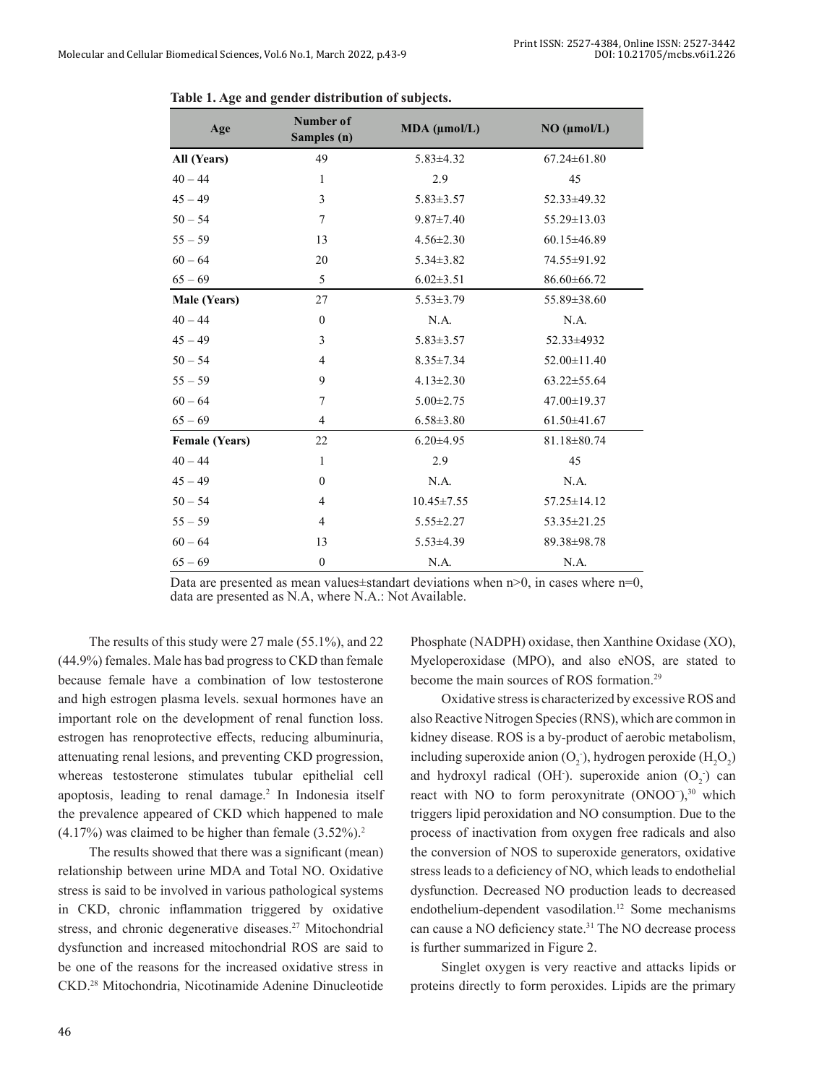| Age                   | Number of<br>Samples (n) | MDA (µmol/L)     | NO (µmol/L)       |  |
|-----------------------|--------------------------|------------------|-------------------|--|
| All (Years)           | 49                       | $5.83 \pm 4.32$  | $67.24 \pm 61.80$ |  |
| $40 - 44$             | 1                        | 2.9              | 45                |  |
| $45 - 49$             | 3                        | $5.83 \pm 3.57$  | 52.33±49.32       |  |
| $50 - 54$             | 7                        | $9.87 \pm 7.40$  | 55.29±13.03       |  |
| $55 - 59$             | 13                       | $4.56 \pm 2.30$  | 60.15±46.89       |  |
| $60 - 64$             | 20                       | $5.34 \pm 3.82$  | 74.55±91.92       |  |
| $65 - 69$             | 5                        | $6.02 \pm 3.51$  | 86.60±66.72       |  |
| Male (Years)          | 27                       | $5.53 \pm 3.79$  | 55.89±38.60       |  |
| $40 - 44$             | $\boldsymbol{0}$         | N.A.             | N.A.              |  |
| $45 - 49$             | 3                        | $5.83 \pm 3.57$  | 52.33±4932        |  |
| $50 - 54$             | $\overline{4}$           | $8.35 \pm 7.34$  | $52.00 \pm 11.40$ |  |
| $55 - 59$             | 9                        | $4.13 \pm 2.30$  | $63.22 \pm 55.64$ |  |
| $60 - 64$             | 7                        | $5.00 \pm 2.75$  | 47.00±19.37       |  |
| $65 - 69$             | $\overline{4}$           | $6.58 \pm 3.80$  | $61.50\pm41.67$   |  |
| <b>Female (Years)</b> | 22                       | $6.20 \pm 4.95$  | $81.18 \pm 80.74$ |  |
| $40 - 44$             | $\mathbf{1}$             | 2.9              | 45                |  |
| $45 - 49$             | $\mathbf{0}$             | N.A.             | N.A.              |  |
| $50 - 54$             | $\overline{4}$           | $10.45 \pm 7.55$ | $57.25 \pm 14.12$ |  |
| $55 - 59$             | 4                        | $5.55 \pm 2.27$  | 53.35±21.25       |  |
| $60 - 64$             | 13                       | $5.53 \pm 4.39$  | 89.38±98.78       |  |
| $65 - 69$             | $\boldsymbol{0}$         | N.A.             | N.A.              |  |

|  |  |  | Table 1. Age and gender distribution of subjects. |  |  |
|--|--|--|---------------------------------------------------|--|--|
|--|--|--|---------------------------------------------------|--|--|

Data are presented as mean values $\pm$ standart deviations when n>0, in cases where n=0, data are presented as N.A, where N.A.: Not Available.

The results of this study were 27 male (55.1%), and 22 (44.9%) females. Male has bad progress to CKD than female because female have a combination of low testosterone and high estrogen plasma levels. sexual hormones have an important role on the development of renal function loss. estrogen has renoprotective effects, reducing albuminuria, attenuating renal lesions, and preventing CKD progression, whereas testosterone stimulates tubular epithelial cell apoptosis, leading to renal damage.<sup>2</sup> In Indonesia itself the prevalence appeared of CKD which happened to male  $(4.17\%)$  was claimed to be higher than female  $(3.52\%)$ .<sup>2</sup>

The results showed that there was a significant (mean) relationship between urine MDA and Total NO. Oxidative stress is said to be involved in various pathological systems in CKD, chronic inflammation triggered by oxidative stress, and chronic degenerative diseases.<sup>27</sup> Mitochondrial dysfunction and increased mitochondrial ROS are said to be one of the reasons for the increased oxidative stress in CKD.28 Mitochondria, Nicotinamide Adenine Dinucleotide

Phosphate (NADPH) oxidase, then Xanthine Oxidase (XO), Myeloperoxidase (MPO), and also eNOS, are stated to become the main sources of ROS formation.<sup>29</sup>

Oxidative stress is characterized by excessive ROS and also Reactive Nitrogen Species (RNS), which are common in kidney disease. ROS is a by-product of aerobic metabolism, including superoxide anion  $(O_2)$ , hydrogen peroxide  $(H_2O_2)$ and hydroxyl radical (OH). superoxide anion  $(O_2)$  can react with NO to form peroxynitrate (ONOO<sup>-</sup>),<sup>30</sup> which triggers lipid peroxidation and NO consumption. Due to the process of inactivation from oxygen free radicals and also the conversion of NOS to superoxide generators, oxidative stress leads to a deficiency of NO, which leads to endothelial dysfunction. Decreased NO production leads to decreased endothelium-dependent vasodilation.12 Some mechanisms can cause a NO deficiency state.<sup>31</sup> The NO decrease process is further summarized in Figure 2.

Singlet oxygen is very reactive and attacks lipids or proteins directly to form peroxides. Lipids are the primary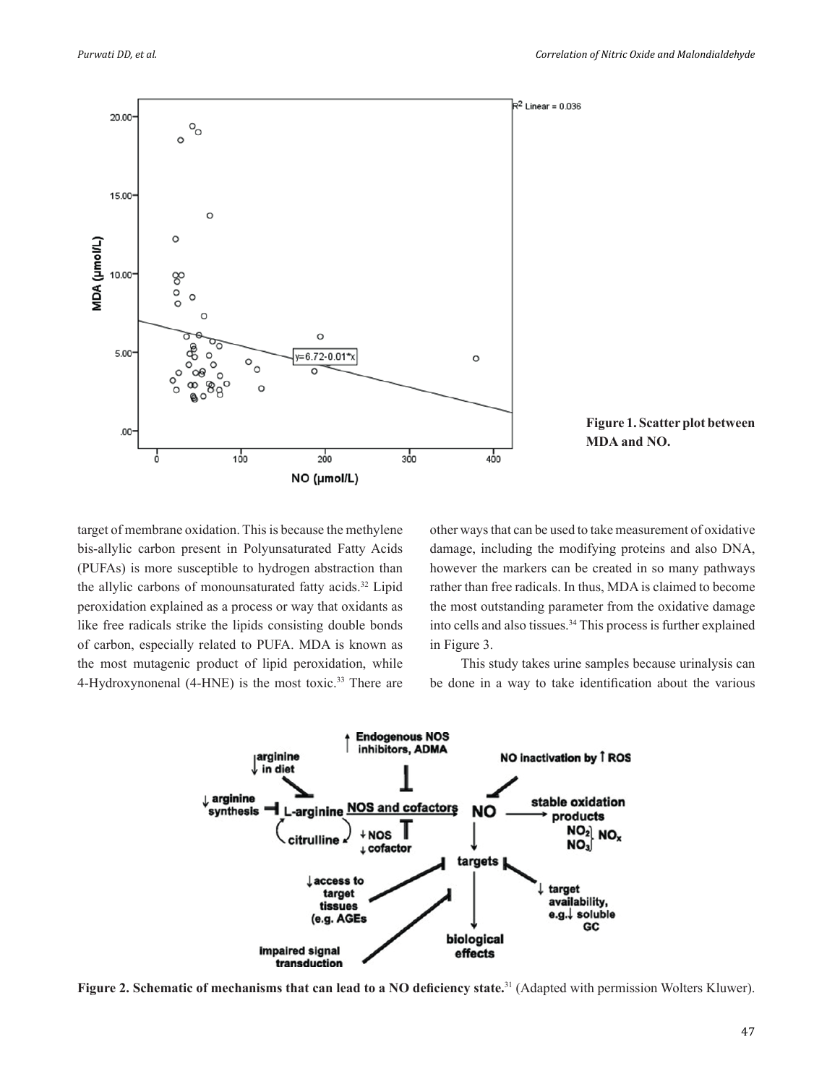



target of membrane oxidation. This is because the methylene bis-allylic carbon present in Polyunsaturated Fatty Acids (PUFAs) is more susceptible to hydrogen abstraction than the allylic carbons of monounsaturated fatty acids.<sup>32</sup> Lipid peroxidation explained as a process or way that oxidants as like free radicals strike the lipids consisting double bonds of carbon, especially related to PUFA. MDA is known as the most mutagenic product of lipid peroxidation, while 4-Hydroxynonenal (4-HNE) is the most toxic.<sup>33</sup> There are

other ways that can be used to take measurement of oxidative damage, including the modifying proteins and also DNA, however the markers can be created in so many pathways rather than free radicals. In thus, MDA is claimed to become the most outstanding parameter from the oxidative damage into cells and also tissues.34 This process is further explained in Figure 3.

This study takes urine samples because urinalysis can be done in a way to take identification about the various



**Figure 2. Schematic of mechanisms that can lead to a NO deficiency state.**31 (Adapted with permission Wolters Kluwer).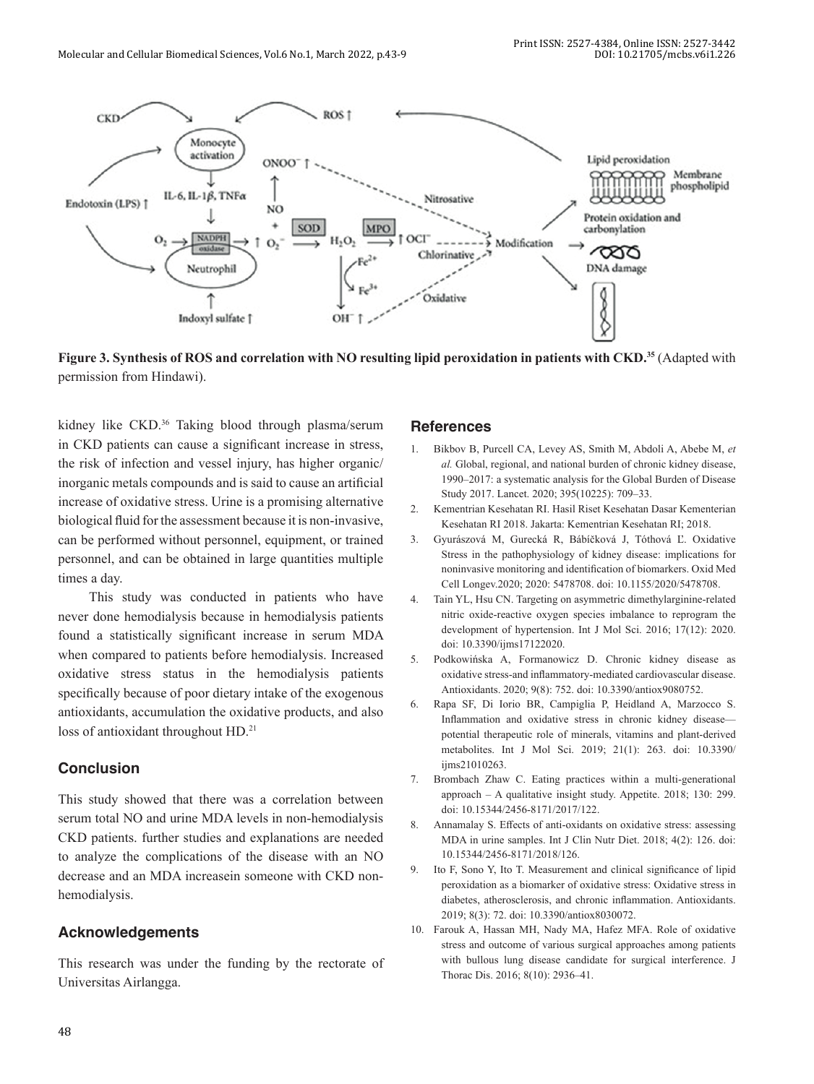

**Figure 3. Synthesis of ROS and correlation with NO resulting lipid peroxidation in patients with CKD.<sup>35</sup>** (Adapted with permission from Hindawi).

kidney like CKD.36 Taking blood through plasma/serum in CKD patients can cause a significant increase in stress, the risk of infection and vessel injury, has higher organic/ inorganic metals compounds and is said to cause an artificial increase of oxidative stress. Urine is a promising alternative biological fluid for the assessment because it is non-invasive, can be performed without personnel, equipment, or trained personnel, and can be obtained in large quantities multiple times a day.

This study was conducted in patients who have never done hemodialysis because in hemodialysis patients found a statistically significant increase in serum MDA when compared to patients before hemodialysis. Increased oxidative stress status in the hemodialysis patients specifically because of poor dietary intake of the exogenous antioxidants, accumulation the oxidative products, and also loss of antioxidant throughout HD.<sup>21</sup>

# **Conclusion**

This study showed that there was a correlation between serum total NO and urine MDA levels in non-hemodialysis CKD patients. further studies and explanations are needed to analyze the complications of the disease with an NO decrease and an MDA increasein someone with CKD nonhemodialysis.

# **Acknowledgements**

This research was under the funding by the rectorate of Universitas Airlangga.

## **References**

- 1. Bikbov B, Purcell CA, Levey AS, Smith M, Abdoli A, Abebe M, *et al.* Global, regional, and national burden of chronic kidney disease, 1990–2017: a systematic analysis for the Global Burden of Disease Study 2017. Lancet. 2020; 395(10225): 709–33.
- 2. Kementrian Kesehatan RI. Hasil Riset Kesehatan Dasar Kementerian Kesehatan RI 2018. Jakarta: Kementrian Kesehatan RI; 2018.
- 3. Gyurászová M, Gurecká R, Bábíčková J, Tóthová Ľ. Oxidative Stress in the pathophysiology of kidney disease: implications for noninvasive monitoring and identification of biomarkers. Oxid Med Cell Longev.2020; 2020: 5478708. doi: 10.1155/2020/5478708.
- 4. Tain YL, Hsu CN. Targeting on asymmetric dimethylarginine-related nitric oxide-reactive oxygen species imbalance to reprogram the development of hypertension. Int J Mol Sci. 2016; 17(12): 2020. doi: 10.3390/ijms17122020.
- 5. Podkowińska A, Formanowicz D. Chronic kidney disease as oxidative stress-and inflammatory-mediated cardiovascular disease. Antioxidants. 2020; 9(8): 752. doi: 10.3390/antiox9080752.
- 6. Rapa SF, Di Iorio BR, Campiglia P, Heidland A, Marzocco S. Inflammation and oxidative stress in chronic kidney disease potential therapeutic role of minerals, vitamins and plant-derived metabolites. Int J Mol Sci. 2019; 21(1): 263. doi: 10.3390/ ijms21010263.
- 7. Brombach Zhaw C. Eating practices within a multi-generational approach – A qualitative insight study. Appetite. 2018; 130: 299. doi: 10.15344/2456-8171/2017/122.
- 8. Annamalay S. Effects of anti-oxidants on oxidative stress: assessing MDA in urine samples. Int J Clin Nutr Diet. 2018; 4(2): 126. doi: 10.15344/2456-8171/2018/126.
- 9. Ito F, Sono Y, Ito T. Measurement and clinical significance of lipid peroxidation as a biomarker of oxidative stress: Oxidative stress in diabetes, atherosclerosis, and chronic inflammation. Antioxidants. 2019; 8(3): 72. doi: 10.3390/antiox8030072.
- 10. Farouk A, Hassan MH, Nady MA, Hafez MFA. Role of oxidative stress and outcome of various surgical approaches among patients with bullous lung disease candidate for surgical interference. J Thorac Dis. 2016; 8(10): 2936–41.